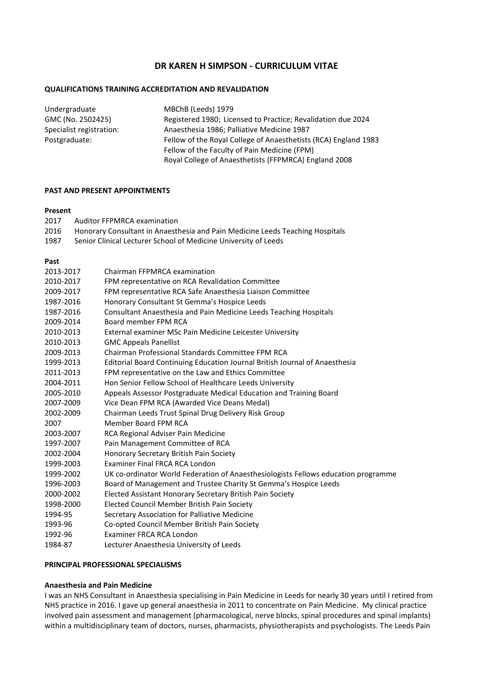# **DR KAREN H SIMPSON - CURRICULUM VITAE**

# **QUALIFICATIONS TRAINING ACCREDITATION AND REVALIDATION**

| Undergraduate            | MBChB (Leeds) 1979                                              |
|--------------------------|-----------------------------------------------------------------|
| GMC (No. 2502425)        | Registered 1980; Licensed to Practice; Revalidation due 2024    |
| Specialist registration: | Anaesthesia 1986; Palliative Medicine 1987                      |
| Postgraduate:            | Fellow of the Royal College of Anaesthetists (RCA) England 1983 |
|                          | Fellow of the Faculty of Pain Medicine (FPM)                    |
|                          | Royal College of Anaesthetists (FFPMRCA) England 2008           |
|                          |                                                                 |

### **PAST AND PRESENT APPOINTMENTS**

#### **Present**

| Auditor FFPMRCA examination<br>2017 |
|-------------------------------------|
|-------------------------------------|

- 2016 Honorary Consultant in Anaesthesia and Pain Medicine Leeds Teaching Hospitals<br>1987 Senior Clinical Lecturer School of Medicine University of Leeds
- Senior Clinical Lecturer School of Medicine University of Leeds

#### **Past**

| 2013-2017 | Chairman FFPMRCA examination                                                       |
|-----------|------------------------------------------------------------------------------------|
| 2010-2017 | FPM representative on RCA Revalidation Committee                                   |
| 2009-2017 | FPM representative RCA Safe Anaesthesia Liaison Committee                          |
| 1987-2016 | Honorary Consultant St Gemma's Hospice Leeds                                       |
| 1987-2016 | Consultant Anaesthesia and Pain Medicine Leeds Teaching Hospitals                  |
| 2009-2014 | Board member FPM RCA                                                               |
| 2010-2013 | External examiner MSc Pain Medicine Leicester University                           |
| 2010-2013 | <b>GMC Appeals Panellist</b>                                                       |
| 2009-2013 | Chairman Professional Standards Committee FPM RCA                                  |
| 1999-2013 | <b>Editorial Board Continuing Education Journal British Journal of Anaesthesia</b> |
| 2011-2013 | FPM representative on the Law and Ethics Committee                                 |
| 2004-2011 | Hon Senior Fellow School of Healthcare Leeds University                            |
| 2005-2010 | Appeals Assessor Postgraduate Medical Education and Training Board                 |
| 2007-2009 | Vice Dean FPM RCA (Awarded Vice Deans Medal)                                       |
| 2002-2009 | Chairman Leeds Trust Spinal Drug Delivery Risk Group                               |
| 2007      | Member Board FPM RCA                                                               |
| 2003-2007 | RCA Regional Adviser Pain Medicine                                                 |
| 1997-2007 | Pain Management Committee of RCA                                                   |
| 2002-2004 | Honorary Secretary British Pain Society                                            |
| 1999-2003 | Examiner Final FRCA RCA London                                                     |
| 1999-2002 | UK co-ordinator World Federation of Anaesthesiologists Fellows education programme |
| 1996-2003 | Board of Management and Trustee Charity St Gemma's Hospice Leeds                   |
| 2000-2002 | Elected Assistant Honorary Secretary British Pain Society                          |
| 1998-2000 | Elected Council Member British Pain Society                                        |
| 1994-95   | Secretary Association for Palliative Medicine                                      |
| 1993-96   | Co-opted Council Member British Pain Society                                       |
| 1992-96   | Examiner FRCA RCA London                                                           |
| 1984-87   | Lecturer Anaesthesia University of Leeds                                           |

# **PRINCIPAL PROFESSIONAL SPECIALISMS**

# **Anaesthesia and Pain Medicine**

I was an NHS Consultant in Anaesthesia specialising in Pain Medicine in Leeds for nearly 30 years until I retired from NHS practice in 2016. I gave up general anaesthesia in 2011 to concentrate on Pain Medicine. My clinical practice involved pain assessment and management (pharmacological, nerve blocks, spinal procedures and spinal implants) within a multidisciplinary team of doctors, nurses, pharmacists, physiotherapists and psychologists. The Leeds Pain